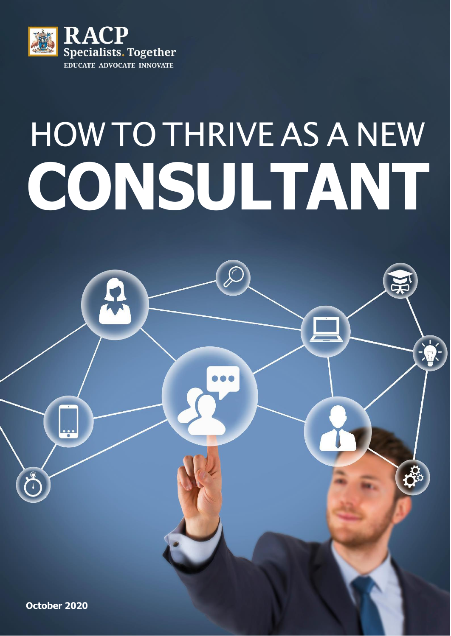

# HOW TO THRIVE AS A NEW **CONSULTANT**

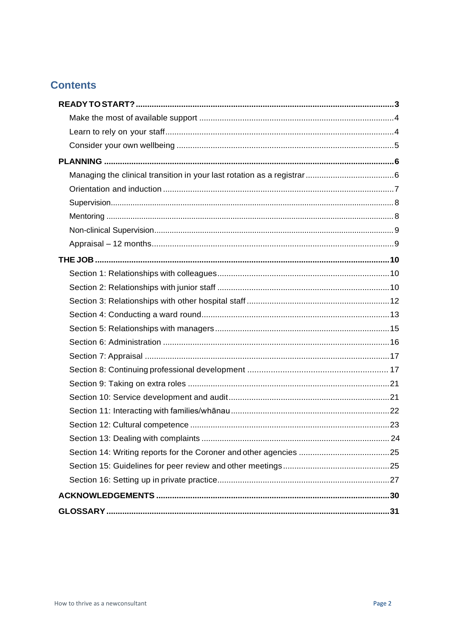# **Contents**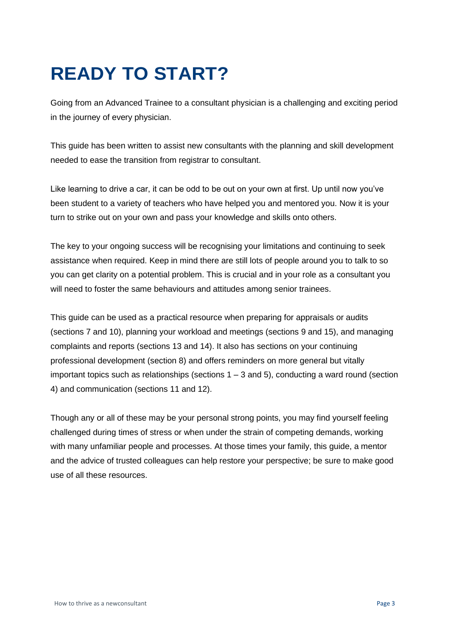# <span id="page-2-0"></span>**READY TO START?**

Going from an Advanced Trainee to a consultant physician is a challenging and exciting period in the journey of every physician.

This guide has been written to assist new consultants with the planning and skill development needed to ease the transition from registrar to consultant.

Like learning to drive a car, it can be odd to be out on your own at first. Up until now you've been student to a variety of teachers who have helped you and mentored you. Now it is your turn to strike out on your own and pass your knowledge and skills onto others.

The key to your ongoing success will be recognising your limitations and continuing to seek assistance when required. Keep in mind there are still lots of people around you to talk to so you can get clarity on a potential problem. This is crucial and in your role as a consultant you will need to foster the same behaviours and attitudes among senior trainees.

This guide can be used as a practical resource when preparing for appraisals or audits (sections 7 and 10), planning your workload and meetings (sections 9 and 15), and managing complaints and reports (sections 13 and 14). It also has sections on your continuing professional development (section 8) and offers reminders on more general but vitally important topics such as relationships (sections  $1 - 3$  and 5), conducting a ward round (section 4) and communication (sections 11 and 12).

Though any or all of these may be your personal strong points, you may find yourself feeling challenged during times of stress or when under the strain of competing demands, working with many unfamiliar people and processes. At those times your family, this guide, a mentor and the advice of trusted colleagues can help restore your perspective; be sure to make good use of all these resources.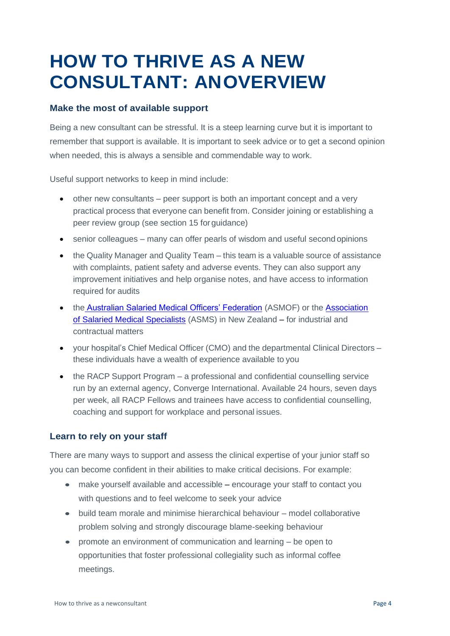# **HOW TO THRIVE AS A NEW CONSULTANT: ANOVERVIEW**

# <span id="page-3-0"></span>**Make the most of available support**

Being a new consultant can be stressful. It is a steep learning curve but it is important to remember that support is available. It is important to seek advice or to get a second opinion when needed, this is always a sensible and commendable way to work.

Useful support networks to keep in mind include:

- other new consultants peer support is both an important concept and a very practical process that everyone can benefit from. Consider joining or establishing a peer review group (see section 15 for guidance)
- senior colleagues many can offer pearls of wisdom and useful second opinions
- the Quality Manager and Quality Team this team is a valuable source of assistance with complaints, patient safety and adverse events. They can also support any improvement initiatives and help organise notes, and have access to information required for audits
- the [Australian Salaried Medical Officers' Federation](http://www.asmof.org.au/) (ASMOF) or the [Association](http://www.asms.org.nz/) [of Salaried Medical Specialists](http://www.asms.org.nz/) (ASMS) in New Zealand - for industrial and contractual matters
- your hospital's Chief Medical Officer (CMO) and the departmental Clinical Directors these individuals have a wealth of experience available to you
- the RACP Support Program a professional and confidential counselling service run by an external agency, Converge International. Available 24 hours, seven days per week, all RACP Fellows and trainees have access to confidential counselling, coaching and support for workplace and personal issues.

# <span id="page-3-1"></span>**Learn to rely on your staff**

There are many ways to support and assess the clinical expertise of your junior staff so you can become confident in their abilities to make critical decisions. For example:

- make yourself available and accessible encourage your staff to contact you with questions and to feel welcome to seek your advice
- build team morale and minimise hierarchical behaviour model collaborative problem solving and strongly discourage blame-seeking behaviour
- promote an environment of communication and learning be open to opportunities that foster professional collegiality such as informal coffee meetings.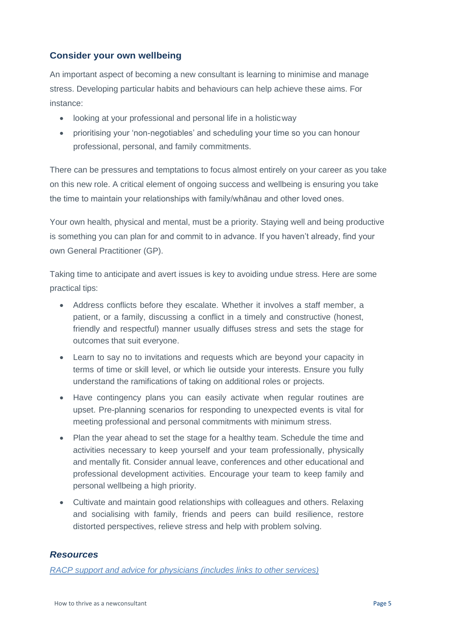# <span id="page-4-0"></span>**Consider your own wellbeing**

An important aspect of becoming a new consultant is learning to minimise and manage stress. Developing particular habits and behaviours can help achieve these aims. For instance:

- looking at your professional and personal life in a holisticway
- prioritising your 'non-negotiables' and scheduling your time so you can honour professional, personal, and family commitments.

There can be pressures and temptations to focus almost entirely on your career as you take on this new role. A critical element of ongoing success and wellbeing is ensuring you take the time to maintain your relationships with family/whānau and other loved ones.

Your own health, physical and mental, must be a priority. Staying well and being productive is something you can plan for and commit to in advance. If you haven't already, find your own General Practitioner (GP).

Taking time to anticipate and avert issues is key to avoiding undue stress. Here are some practical tips:

- Address conflicts before they escalate. Whether it involves a staff member, a patient, or a family, discussing a conflict in a timely and constructive (honest, friendly and respectful) manner usually diffuses stress and sets the stage for outcomes that suit everyone.
- Learn to say no to invitations and requests which are beyond your capacity in terms of time or skill level, or which lie outside your interests. Ensure you fully understand the ramifications of taking on additional roles or projects.
- Have contingency plans you can easily activate when regular routines are upset. Pre-planning scenarios for responding to unexpected events is vital for meeting professional and personal commitments with minimum stress.
- Plan the year ahead to set the stage for a healthy team. Schedule the time and activities necessary to keep yourself and your team professionally, physically and mentally fit. Consider annual leave, conferences and other educational and professional development activities. Encourage your team to keep family and personal wellbeing a high priority.
- Cultivate and maintain good relationships with colleagues and others. Relaxing and socialising with family, friends and peers can build resilience, restore distorted perspectives, relieve stress and help with problem solving.

# *Resources*

*[RACP support and advice for physicians \(includes links to other services\)](http://www.racp.edu.au/fellows/support-services-for-health-professionals)*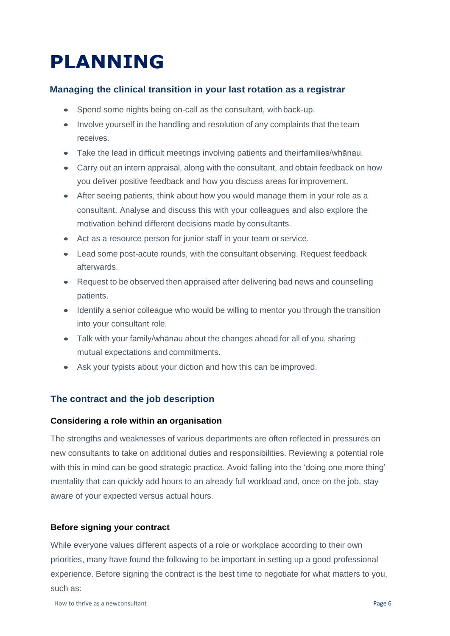# <span id="page-5-0"></span>**PLANNING**

# <span id="page-5-1"></span>**Managing the clinical transition in your last rotation as a registrar**

- Spend some nights being on-call as the consultant, with back-up.
- Involve yourself in the handling and resolution of any complaints that the team receives.
- Take the lead in difficult meetings involving patients and theirfamilies/whānau.
- Carry out an intern appraisal, along with the consultant, and obtain feedback on how you deliver positive feedback and how you discuss areas forimprovement.
- After seeing patients, think about how you would manage them in your role as a consultant. Analyse and discuss this with your colleagues and also explore the motivation behind different decisions made by consultants.
- Act as a resource person for junior staff in your team or service.
- Lead some post-acute rounds, with the consultant observing. Request feedback afterwards.
- Request to be observed then appraised after delivering bad news and counselling patients.
- Identify a senior colleague who would be willing to mentor you through the transition into your consultant role.
- Talk with your family/whānau about the changes ahead for all of you, sharing mutual expectations and commitments.
- Ask your typists about your diction and how this can be improved.

# **The contract and the job description**

#### **Considering a role within an organisation**

The strengths and weaknesses of various departments are often reflected in pressures on new consultants to take on additional duties and responsibilities. Reviewing a potential role with this in mind can be good strategic practice. Avoid falling into the 'doing one more thing' mentality that can quickly add hours to an already full workload and, once on the job, stay aware of your expected versus actual hours.

# **Before signing your contract**

While everyone values different aspects of a role or workplace according to their own priorities, many have found the following to be important in setting up a good professional experience. Before signing the contract is the best time to negotiate for what matters to you, such as: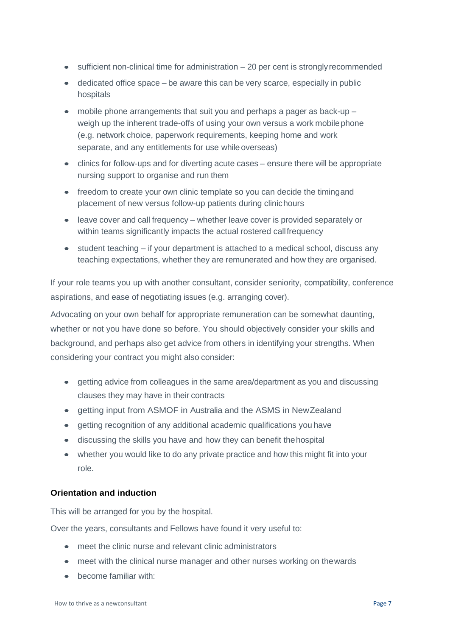- sufficient non-clinical time for administration 20 per cent is strongly recommended
- dedicated office space be aware this can be very scarce, especially in public hospitals
- mobile phone arrangements that suit you and perhaps a pager as back-up weigh up the inherent trade-offs of using your own versus a work mobilephone (e.g. network choice, paperwork requirements, keeping home and work separate, and any entitlements for use while overseas)
- clinics for follow-ups and for diverting acute cases ensure there will be appropriate nursing support to organise and run them
- freedom to create your own clinic template so you can decide the timingand placement of new versus follow-up patients during clinichours
- leave cover and call frequency whether leave cover is provided separately or within teams significantly impacts the actual rostered callfrequency
- $\bullet$  student teaching if your department is attached to a medical school, discuss any teaching expectations, whether they are remunerated and how they are organised.

If your role teams you up with another consultant, consider seniority, compatibility, conference aspirations, and ease of negotiating issues (e.g. arranging cover).

Advocating on your own behalf for appropriate remuneration can be somewhat daunting, whether or not you have done so before. You should objectively consider your skills and background, and perhaps also get advice from others in identifying your strengths. When considering your contract you might also consider:

- getting advice from colleagues in the same area/department as you and discussing clauses they may have in their contracts
- getting input from ASMOF in Australia and the ASMS in NewZealand
- getting recognition of any additional academic qualifications you have
- discussing the skills you have and how they can benefit thehospital
- whether you would like to do any private practice and how this might fit into your role.

#### <span id="page-6-0"></span>**Orientation and induction**

This will be arranged for you by the hospital.

Over the years, consultants and Fellows have found it very useful to:

- meet the clinic nurse and relevant clinic administrators
- meet with the clinical nurse manager and other nurses working on the wards
- become familiar with: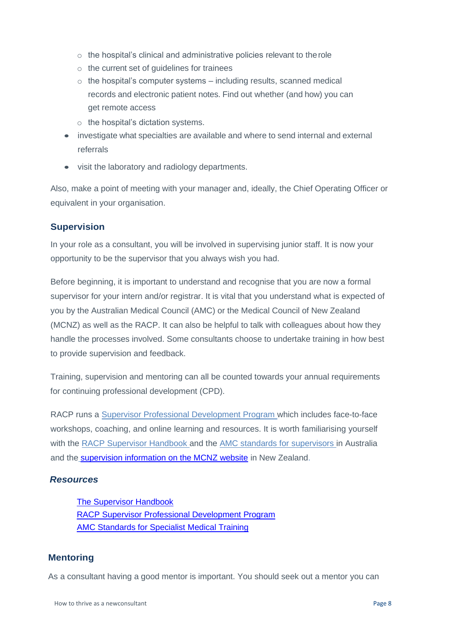- o the hospital's clinical and administrative policies relevant to therole
- o the current set of guidelines for trainees
- $\circ$  the hospital's computer systems including results, scanned medical records and electronic patient notes. Find out whether (and how) you can get remote access
- o the hospital's dictation systems.
- investigate what specialties are available and where to send internal and external referrals
- visit the laboratory and radiology departments.

Also, make a point of meeting with your manager and, ideally, the Chief Operating Officer or equivalent in your organisation.

#### <span id="page-7-0"></span>**Supervision**

In your role as a consultant, you will be involved in supervising junior staff. It is now your opportunity to be the supervisor that you always wish you had.

Before beginning, it is important to understand and recognise that you are now a formal supervisor for your intern and/or registrar. It is vital that you understand what is expected of you by the Australian Medical Council (AMC) or the Medical Council of New Zealand (MCNZ) as well as the RACP. It can also be helpful to talk with colleagues about how they handle the processes involved. Some consultants choose to undertake training in how best to provide supervision and feedback.

Training, supervision and mentoring can all be counted towards your annual requirements for continuing professional development (CPD).

RACP runs a [Supervisor Professional Development Program w](https://www.racp.edu.au/fellows/supervision/supervisor-professional-development-program)hich includes face-to-face workshops, coaching, and online learning and resources. It is worth familiarising yourself with the [RACP Supervisor Handbook a](https://www.racp.edu.au/fellows/supervision/supervisor-support-and-resources/the-supervisor-handbook)nd the [AMC standards for supervisors in](http://d3e1nzxg15cf5s.cloudfront.net/joomla-files/images/Accreditation/standards-for-specialist-medical-training-2010.pdf) Australia and the [supervision information on the MCNZ website in](https://www.mcnz.org.nz/maintain-registration/supervision-img/) New Zealand.

#### *Resources*

[The Supervisor Handbook](https://www.racp.edu.au/fellows/supervision/supervisor-support-and-resources/the-supervisor-handbook) [RACP Supervisor Professional Development Program](https://www.racp.edu.au/fellows/supervision/supervisor-professional-development-program) [AMC Standards for Specialist Medical Training](https://www.amc.org.au/accreditation-and-recognition/assessment-accreditation-specialist-medical-programs-assessment-accreditation-specialist-medical-programs/)

#### <span id="page-7-1"></span>**Mentoring**

As a consultant having a good mentor is important. You should seek out a mentor you can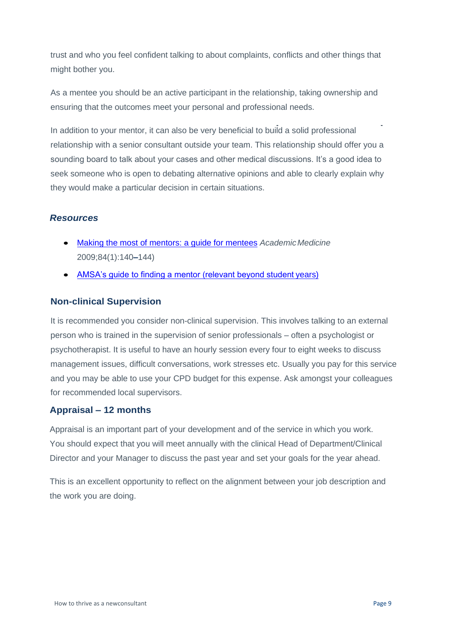trust and who you feel confident talking to about complaints, conflicts and other things that might bother you.

As a mentee you should be an active participant in the relationship, taking ownership and ensuring that the outcomes meet your personal and professional needs.

In addition to your mentor, it can also be very beneficial to build a solid professional relationship with a senior consultant outside your team. This relationship should offer you a sounding board to talk about your cases and other medical discussions. It's a good idea to seek someone who is open to debating alternative opinions and able to clearly explain why they would make a particular decision in certain situations.

# *Resources*

- [Making the most of mentors: a guide for mentees](https://journals.lww.com/academicmedicine/Fulltext/2009/01000/Making_the_Most_of_Mentors__A_Guide_for_Mentees.37.aspx) *AcademicMedicine* 2009;84(1):140**–**144)
- [AMSA's guide to finding a mentor \(relevant beyond student](https://www.amsa.org.au/node/947) [years\)](https://www.amsa.org.au/node/947)

# <span id="page-8-0"></span>**Non-clinical Supervision**

It is recommended you consider non-clinical supervision. This involves talking to an external person who is trained in the supervision of senior professionals – often a psychologist or psychotherapist. It is useful to have an hourly session every four to eight weeks to discuss management issues, difficult conversations, work stresses etc. Usually you pay for this service and you may be able to use your CPD budget for this expense. Ask amongst your colleagues for recommended local supervisors.

# <span id="page-8-1"></span>**Appraisal – 12 months**

Appraisal is an important part of your development and of the service in which you work. You should expect that you will meet annually with the clinical Head of Department/Clinical Director and your Manager to discuss the past year and set your goals for the year ahead.

This is an excellent opportunity to reflect on the alignment between your job description and the work you are doing.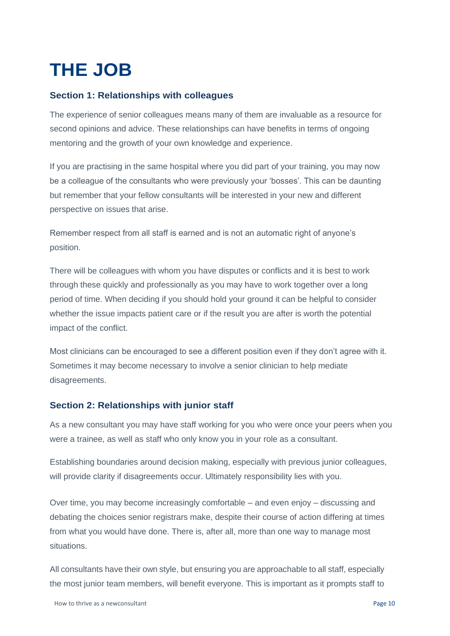# <span id="page-9-0"></span>**THE JOB**

# <span id="page-9-1"></span>**Section 1: Relationships with colleagues**

The experience of senior colleagues means many of them are invaluable as a resource for second opinions and advice. These relationships can have benefits in terms of ongoing mentoring and the growth of your own knowledge and experience.

If you are practising in the same hospital where you did part of your training, you may now be a colleague of the consultants who were previously your 'bosses'. This can be daunting but remember that your fellow consultants will be interested in your new and different perspective on issues that arise.

Remember respect from all staff is earned and is not an automatic right of anyone's position.

There will be colleagues with whom you have disputes or conflicts and it is best to work through these quickly and professionally as you may have to work together over a long period of time. When deciding if you should hold your ground it can be helpful to consider whether the issue impacts patient care or if the result you are after is worth the potential impact of the conflict.

Most clinicians can be encouraged to see a different position even if they don't agree with it. Sometimes it may become necessary to involve a senior clinician to help mediate disagreements.

# <span id="page-9-2"></span>**Section 2: Relationships with junior staff**

As a new consultant you may have staff working for you who were once your peers when you were a trainee, as well as staff who only know you in your role as a consultant.

Establishing boundaries around decision making, especially with previous junior colleagues, will provide clarity if disagreements occur. Ultimately responsibility lies with you.

Over time, you may become increasingly comfortable – and even enjoy – discussing and debating the choices senior registrars make, despite their course of action differing at times from what you would have done. There is, after all, more than one way to manage most situations.

All consultants have their own style, but ensuring you are approachable to all staff, especially the most junior team members, will benefit everyone. This is important as it prompts staff to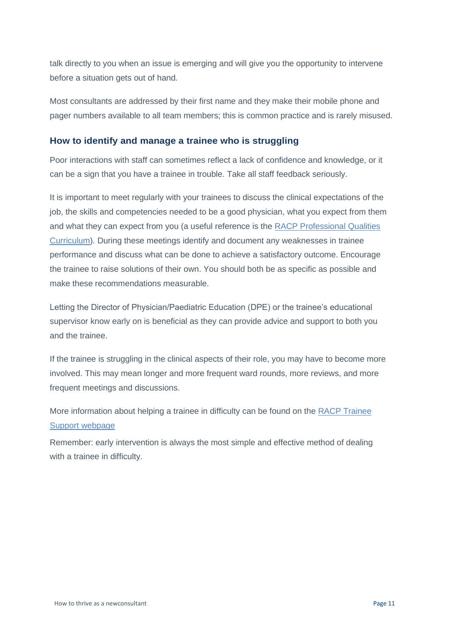talk directly to you when an issue is emerging and will give you the opportunity to intervene before a situation gets out of hand.

Most consultants are addressed by their first name and they make their mobile phone and pager numbers available to all team members; this is common practice and is rarely misused.

# **How to identify and manage a trainee who is struggling**

Poor interactions with staff can sometimes reflect a lack of confidence and knowledge, or it can be a sign that you have a trainee in trouble. Take all staff feedback seriously.

It is important to meet regularly with your trainees to discuss the clinical expectations of the job, the skills and competencies needed to be a good physician, what you expect from them and what they can expect from you (a useful reference is the [RACP Professional](http://www.racp.edu.au/docs/default-source/default-document-library/professional-qualities-curriculum.pdf) [Qualities](http://www.racp.edu.au/index.cfm?objectid=E3E9852F-0920-3FA3-6D19033F4BE2249C) [Curriculum\)](http://www.racp.edu.au/index.cfm?objectid=E3E9852F-0920-3FA3-6D19033F4BE2249C). During these meetings identify and document any weaknesses in trainee performance and discuss what can be done to achieve a satisfactory outcome. Encourage the trainee to raise solutions of their own. You should both be as specific as possible and make these recommendations measurable.

Letting the Director of Physician/Paediatric Education (DPE) or the trainee's educational supervisor know early on is beneficial as they can provide advice and support to both you and the trainee.

If the trainee is struggling in the clinical aspects of their role, you may have to become more involved. This may mean longer and more frequent ward rounds, more reviews, and more frequent meetings and discussions.

More information about helping a trainee in difficulty can be found on the [RACP Trainee](http://www.racp.edu.au/trainees/trainee-support-services) [Support webpage](http://www.racp.edu.au/page/educational-and-professional-development/trainee-support)

Remember: early intervention is always the most simple and effective method of dealing with a trainee in difficulty.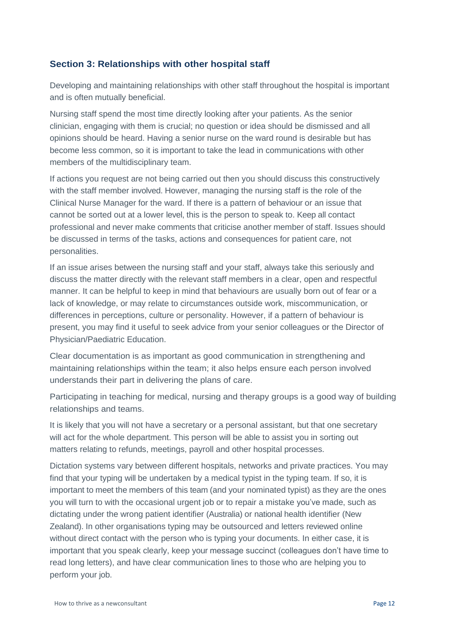# <span id="page-11-0"></span>**Section 3: Relationships with other hospital staff**

Developing and maintaining relationships with other staff throughout the hospital is important and is often mutually beneficial.

Nursing staff spend the most time directly looking after your patients. As the senior clinician, engaging with them is crucial; no question or idea should be dismissed and all opinions should be heard. Having a senior nurse on the ward round is desirable but has become less common, so it is important to take the lead in communications with other members of the multidisciplinary team.

If actions you request are not being carried out then you should discuss this constructively with the staff member involved. However, managing the nursing staff is the role of the Clinical Nurse Manager for the ward. If there is a pattern of behaviour or an issue that cannot be sorted out at a lower level, this is the person to speak to. Keep all contact professional and never make comments that criticise another member of staff. Issues should be discussed in terms of the tasks, actions and consequences for patient care, not personalities.

If an issue arises between the nursing staff and your staff, always take this seriously and discuss the matter directly with the relevant staff members in a clear, open and respectful manner. It can be helpful to keep in mind that behaviours are usually born out of fear or a lack of knowledge, or may relate to circumstances outside work, miscommunication, or differences in perceptions, culture or personality. However, if a pattern of behaviour is present, you may find it useful to seek advice from your senior colleagues or the Director of Physician/Paediatric Education.

Clear documentation is as important as good communication in strengthening and maintaining relationships within the team; it also helps ensure each person involved understands their part in delivering the plans of care.

Participating in teaching for medical, nursing and therapy groups is a good way of building relationships and teams.

It is likely that you will not have a secretary or a personal assistant, but that one secretary will act for the whole department. This person will be able to assist you in sorting out matters relating to refunds, meetings, payroll and other hospital processes.

Dictation systems vary between different hospitals, networks and private practices. You may find that your typing will be undertaken by a medical typist in the typing team. If so, it is important to meet the members of this team (and your nominated typist) as they are the ones you will turn to with the occasional urgent job or to repair a mistake you've made, such as dictating under the wrong patient identifier (Australia) or national health identifier (New Zealand). In other organisations typing may be outsourced and letters reviewed online without direct contact with the person who is typing your documents. In either case, it is important that you speak clearly, keep your message succinct (colleagues don't have time to read long letters), and have clear communication lines to those who are helping you to perform your job.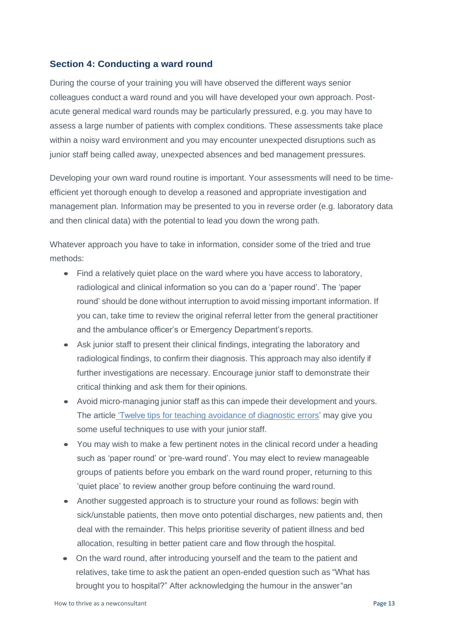## <span id="page-12-0"></span>**Section 4: Conducting a ward round**

During the course of your training you will have observed the different ways senior colleagues conduct a ward round and you will have developed your own approach. Postacute general medical ward rounds may be particularly pressured, e.g. you may have to assess a large number of patients with complex conditions. These assessments take place within a noisy ward environment and you may encounter unexpected disruptions such as junior staff being called away, unexpected absences and bed management pressures.

Developing your own ward round routine is important. Your assessments will need to be timeefficient yet thorough enough to develop a reasoned and appropriate investigation and management plan. Information may be presented to you in reverse order (e.g. laboratory data and then clinical data) with the potential to lead you down the wrong path.

Whatever approach you have to take in information, consider some of the tried and true methods:

- Find a relatively quiet place on the ward where you have access to laboratory, radiological and clinical information so you can do a 'paper round'. The 'paper round' should be done without interruption to avoid missing important information. If you can, take time to review the original referral letter from the general practitioner and the ambulance officer's or Emergency Department's reports.
- Ask junior staff to present their clinical findings, integrating the laboratory and radiological findings, to confirm their diagnosis. This approach may also identify if further investigations are necessary. Encourage junior staff to demonstrate their critical thinking and ask them for their opinions.
- Avoid micro-managing junior staff as this can impede their development and yours. The article ['Twelve tips for teaching avoidance of diagnostic errors' m](http://www.ncbi.nlm.nih.gov/pubmed/18576188)ay give you some useful techniques to use with your junior staff.
- You may wish to make a few pertinent notes in the clinical record under a heading such as 'paper round' or 'pre-ward round'. You may elect to review manageable groups of patients before you embark on the ward round proper, returning to this 'quiet place' to review another group before continuing the ward round.
- Another suggested approach is to structure your round as follows: begin with sick/unstable patients, then move onto potential discharges, new patients and, then deal with the remainder. This helps prioritise severity of patient illness and bed allocation, resulting in better patient care and flow through the hospital.
- On the ward round, after introducing yourself and the team to the patient and relatives, take time to ask the patient an open-ended question such as "What has brought you to hospital?" After acknowledging the humour in the answer"an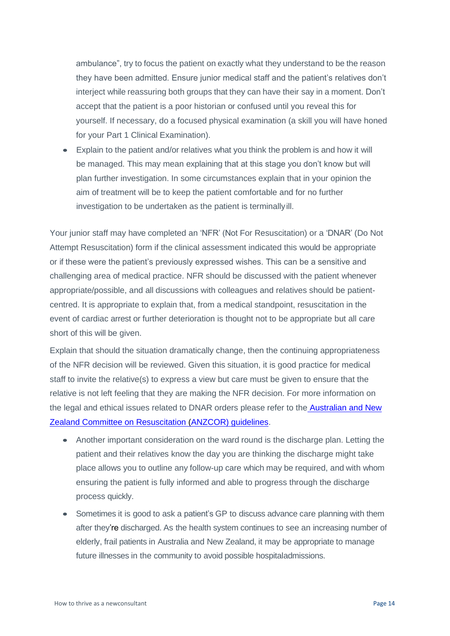ambulance", try to focus the patient on exactly what they understand to be the reason they have been admitted. Ensure junior medical staff and the patient's relatives don't interject while reassuring both groups that they can have their say in a moment. Don't accept that the patient is a poor historian or confused until you reveal this for yourself. If necessary, do a focused physical examination (a skill you will have honed for your Part 1 Clinical Examination).

• Explain to the patient and/or relatives what you think the problem is and how it will be managed. This may mean explaining that at this stage you don't know but will plan further investigation. In some circumstances explain that in your opinion the aim of treatment will be to keep the patient comfortable and for no further investigation to be undertaken as the patient is terminallyill.

Your junior staff may have completed an 'NFR' (Not For Resuscitation) or a 'DNAR' (Do Not Attempt Resuscitation) form if the clinical assessment indicated this would be appropriate or if these were the patient's previously expressed wishes. This can be a sensitive and challenging area of medical practice. NFR should be discussed with the patient whenever appropriate/possible, and all discussions with colleagues and relatives should be patientcentred. It is appropriate to explain that, from a medical standpoint, resuscitation in the event of cardiac arrest or further deterioration is thought not to be appropriate but all care short of this will be given.

Explain that should the situation dramatically change, then the continuing appropriateness of the NFR decision will be reviewed. Given this situation, it is good practice for medical staff to invite the relative(s) to express a view but care must be given to ensure that the relative is not left feeling that they are making the NFR decision. For more information on the legal and ethical issues related to DNAR orders please refer to the [Australian and New](https://resus.org.au/guidelines/anzcor-guidelines/) [Zealand Committee on Resuscitation \(ANZCOR\) guidelines.](https://resus.org.au/guidelines/anzcor-guidelines/)

- Another important consideration on the ward round is the discharge plan. Letting the patient and their relatives know the day you are thinking the discharge might take place allows you to outline any follow-up care which may be required, and with whom ensuring the patient is fully informed and able to progress through the discharge process quickly.
- Sometimes it is good to ask a patient's GP to discuss advance care planning with them after they're discharged. As the health system continues to see an increasing number of elderly, frail patients in Australia and New Zealand, it may be appropriate to manage future illnesses in the community to avoid possible hospitaladmissions.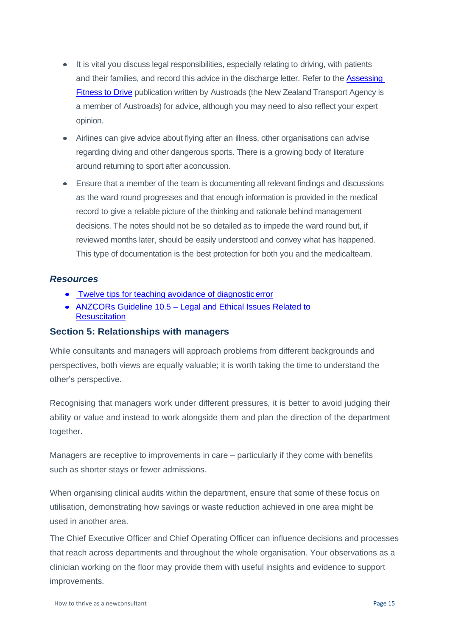- It is vital you discuss legal responsibilities, especially relating to driving, with patients and their families, and record this advice in the discharge letter. Refer to the [Assessing](http://www.austroads.com.au/drivers-vehicles/assessing-fitness-to-drive) Fitness [to Drive](http://www.austroads.com.au/drivers-vehicles/assessing-fitness-to-drive) publication written by Austroads (the New Zealand Transport Agency is a member of Austroads) for advice, although you may need to also reflect your expert opinion.
- Airlines can give advice about flying after an illness, other organisations can advise regarding diving and other dangerous sports. There is a growing body of literature around returning to sport after aconcussion.
- Ensure that a member of the team is documenting all relevant findings and discussions as the ward round progresses and that enough information is provided in the medical record to give a reliable picture of the thinking and rationale behind management decisions. The notes should not be so detailed as to impede the ward round but, if reviewed months later, should be easily understood and convey what has happened. This type of documentation is the best protection for both you and the medicalteam.

#### *Resources*

- Twelve tips for teaching avoidance of diagnostic error
- ANZCORs Guideline 10.5 [Legal and Ethical Issues Related to](http://resus.org.au/guidelines/) **Resuscitation**

# <span id="page-14-0"></span>**Section 5: Relationships with managers**

While consultants and managers will approach problems from different backgrounds and perspectives, both views are equally valuable; it is worth taking the time to understand the other's perspective.

Recognising that managers work under different pressures, it is better to avoid judging their ability or value and instead to work alongside them and plan the direction of the department together.

Managers are receptive to improvements in care – particularly if they come with benefits such as shorter stays or fewer admissions.

When organising clinical audits within the department, ensure that some of these focus on utilisation, demonstrating how savings or waste reduction achieved in one area might be used in another area.

The Chief Executive Officer and Chief Operating Officer can influence decisions and processes that reach across departments and throughout the whole organisation. Your observations as a clinician working on the floor may provide them with useful insights and evidence to support improvements.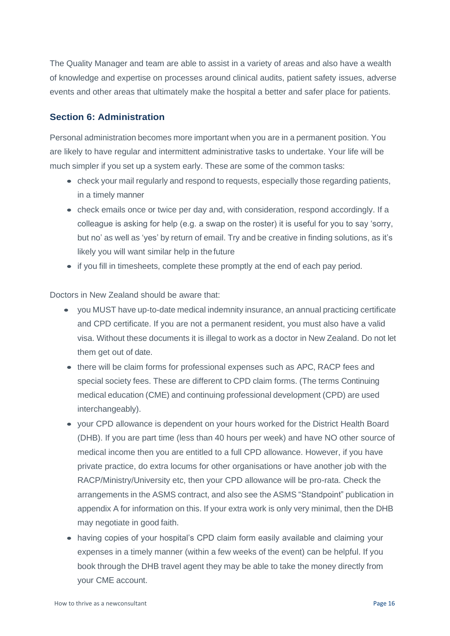The Quality Manager and team are able to assist in a variety of areas and also have a wealth of knowledge and expertise on processes around clinical audits, patient safety issues, adverse events and other areas that ultimately make the hospital a better and safer place for patients.

## <span id="page-15-0"></span>**Section 6: Administration**

Personal administration becomes more important when you are in a permanent position. You are likely to have regular and intermittent administrative tasks to undertake. Your life will be much simpler if you set up a system early. These are some of the common tasks:

- check your mail regularly and respond to requests, especially those regarding patients, in a timely manner
- check emails once or twice per day and, with consideration, respond accordingly. If a colleague is asking for help (e.g. a swap on the roster) it is useful for you to say 'sorry, but no' as well as 'yes' by return of email. Try and be creative in finding solutions, as it's likely you will want similar help in the future
- if you fill in timesheets, complete these promptly at the end of each pay period.

Doctors in New Zealand should be aware that:

- you MUST have up-to-date medical indemnity insurance, an annual practicing certificate and CPD certificate. If you are not a permanent resident, you must also have a valid visa. Without these documents it is illegal to work as a doctor in New Zealand. Do not let them get out of date.
- there will be claim forms for professional expenses such as APC, RACP fees and special society fees. These are different to CPD claim forms. (The terms Continuing medical education (CME) and continuing professional development (CPD) are used interchangeably).
- your CPD allowance is dependent on your hours worked for the District Health Board (DHB). If you are part time (less than 40 hours per week) and have NO other source of medical income then you are entitled to a full CPD allowance. However, if you have private practice, do extra locums for other organisations or have another job with the RACP/Ministry/University etc, then your CPD allowance will be pro-rata. Check the arrangements in the ASMS contract, and also see the ASMS "Standpoint" publication in appendix A for information on this. If your extra work is only very minimal, then the DHB may negotiate in good faith.
- having copies of your hospital's CPD claim form easily available and claiming your expenses in a timely manner (within a few weeks of the event) can be helpful. If you book through the DHB travel agent they may be able to take the money directly from your CME account.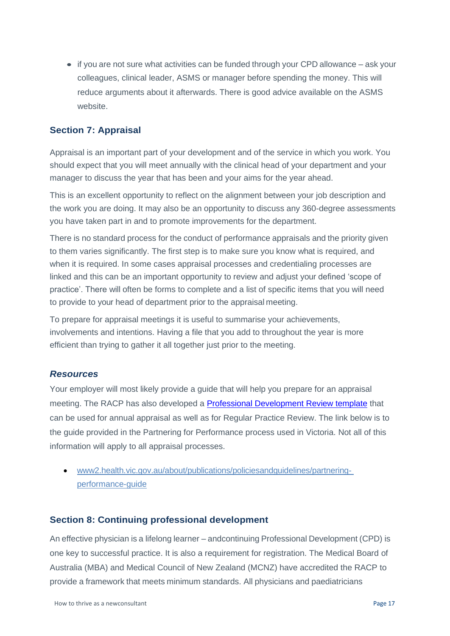• if you are not sure what activities can be funded through your CPD allowance – ask your colleagues, clinical leader, ASMS or manager before spending the money. This will reduce arguments about it afterwards. There is good advice available on the ASMS website.

# <span id="page-16-0"></span>**Section 7: Appraisal**

Appraisal is an important part of your development and of the service in which you work. You should expect that you will meet annually with the clinical head of your department and your manager to discuss the year that has been and your aims for the year ahead.

This is an excellent opportunity to reflect on the alignment between your job description and the work you are doing. It may also be an opportunity to discuss any 360-degree assessments you have taken part in and to promote improvements for the department.

There is no standard process for the conduct of performance appraisals and the priority given to them varies significantly. The first step is to make sure you know what is required, and when it is required. In some cases appraisal processes and credentialing processes are linked and this can be an important opportunity to review and adjust your defined 'scope of practice'. There will often be forms to complete and a list of specific items that you will need to provide to your head of department prior to the appraisal meeting.

To prepare for appraisal meetings it is useful to summarise your achievements, involvements and intentions. Having a file that you add to throughout the year is more efficient than trying to gather it all together just prior to the meeting.

# *Resources*

Your employer will most likely provide a guide that will help you prepare for an appraisal meeting. The RACP has also developed a **Professional Development Review template** that can be used for annual appraisal as well as for Regular Practice Review. The link below is to the guide provided in the Partnering for Performance process used in Victoria. Not all of this information will apply to all appraisal processes.

• [www2.health.vic.gov.au/about/publications/policiesandguidelines/partnering](https://www2.health.vic.gov.au/about/publications/policiesandguidelines/partnering-performance-guide)[performance-guide](http://www.health.vic.gov.au/clinicalengagement/downloads/pasp/partnering_for_performance_-_tips_and_checklists_for_senior_doctors.pdf)

# <span id="page-16-1"></span>**Section 8: Continuing professional development**

An effective physician is a lifelong learner – andcontinuing Professional Development (CPD) is one key to successful practice. It is also a requirement for registration. The Medical Board of Australia (MBA) and Medical Council of New Zealand (MCNZ) have accredited the RACP to provide a framework that meets minimum standards. All physicians and paediatricians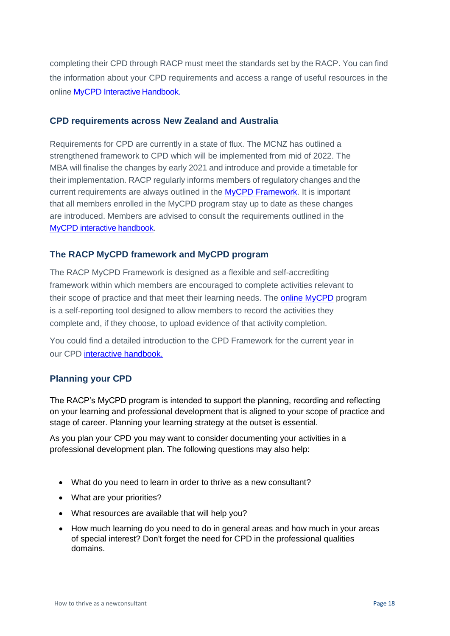completing their CPD through RACP must meet the standards set by the RACP. You can find the information about your CPD requirements and access a range of useful resources in the online [MyCPD Interactive](https://elearning.racp.edu.au/course/view.php?id=210) Handbook.

# **CPD requirements across New Zealand and Australia**

Requirements for CPD are currently in a state of flux. The MCNZ has outlined a strengthened framework to CPD which will be implemented from mid of 2022. The MBA will finalise the changes by early 2021 and introduce and provide a timetable for their implementation. RACP regularly informs members of regulatory changes and the current requirements are always outlined in the [MyCPD Framework. I](https://elearning.racp.edu.au/course/view.php?id=210§ion=1)t is important that all members enrolled in the MyCPD program stay up to date as these changes are introduced. Members are advised to consult the requirements outlined in the [MyCPD interactive](https://elearning.racp.edu.au/course/view.php?id=210) handbook.

# **The RACP MyCPD framework and MyCPD program**

The [RACP MyCPD Framework is](https://elearning.racp.edu.au/course/view.php?id=210§ion=1) designed as a flexible and self-accrediting framework within which members are encouraged to complete activities relevant to their scope of practice and that meet their learning needs. The [online MyCPD](http://www.racp.edu.au/mycpd) program is a self-reporting tool designed to allow members to record the activities they complete and, if they choose, to upload evidence of that activity completion.

You could find a detailed introduction to the CPD Framework for the current year in our CPD [interactive handbook.](https://elearning.racp.edu.au/course/view.php?id=210§ion=1)

# **Planning your CPD**

The RACP's MyCPD program is intended to support the planning, recording and reflecting on your learning and professional development that is aligned to your scope of practice and stage of career. Planning your learning strategy at the outset is essential.

As you plan your CPD you may want to consider documenting your activities in a professional development plan. The following questions may also help:

- What do you need to learn in order to thrive as a new consultant?
- What are your priorities?
- What resources are available that will help you?
- How much learning do you need to do in general areas and how much in your areas of special interest? Don't forget the need for CPD in the professional qualities domains.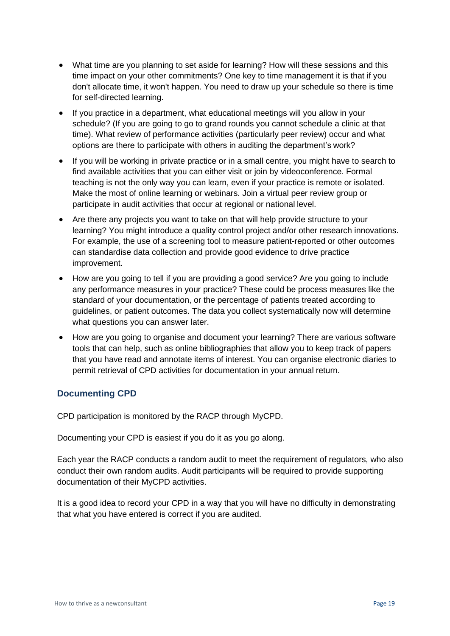- What time are you planning to set aside for learning? How will these sessions and this time impact on your other commitments? One key to time management it is that if you don't allocate time, it won't happen. You need to draw up your schedule so there is time for self-directed learning.
- If you practice in a department, what educational meetings will you allow in your schedule? (If you are going to go to grand rounds you cannot schedule a clinic at that time). What review of performance activities (particularly peer review) occur and what options are there to participate with others in auditing the department's work?
- If you will be working in private practice or in a small centre, you might have to search to find available activities that you can either visit or join by videoconference. Formal teaching is not the only way you can learn, even if your practice is remote or isolated. Make the most of online learning or webinars. Join a virtual peer review group or participate in audit activities that occur at regional or national level.
- Are there any projects you want to take on that will help provide structure to your learning? You might introduce a quality control project and/or other research innovations. For example, the use of a screening tool to measure patient-reported or other outcomes can standardise data collection and provide good evidence to drive practice improvement.
- How are you going to tell if you are providing a good service? Are you going to include any performance measures in your practice? These could be process measures like the standard of your documentation, or the percentage of patients treated according to guidelines, or patient outcomes. The data you collect systematically now will determine what questions you can answer later.
- How are you going to organise and document your learning? There are various software tools that can help, such as online bibliographies that allow you to keep track of papers that you have read and annotate items of interest. You can organise electronic diaries to permit retrieval of CPD activities for documentation in your annual return.

# **Documenting CPD**

CPD participation is monitored by the RACP through MyCPD.

Documenting your CPD is easiest if you do it as you go along.

Each year the RACP conducts a random audit to meet the requirement of regulators, who also conduct their own random audits. Audit participants will be required to provide supporting documentation of their MyCPD activities.

It is a good idea to record your CPD in a way that you will have no difficulty in demonstrating that what you have entered is correct if you are audited.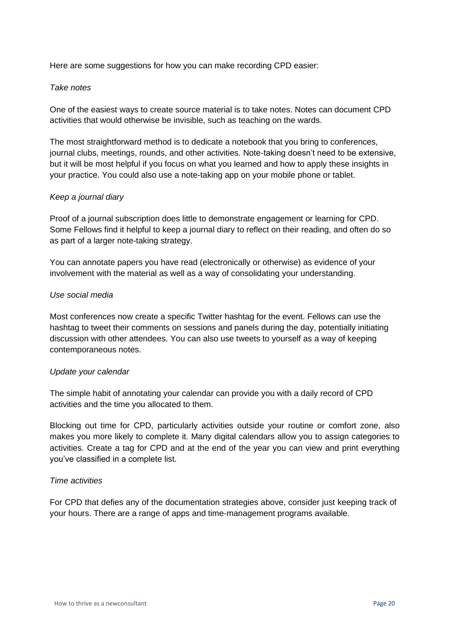Here are some suggestions for how you can make recording CPD easier:

#### *Take notes*

One of the easiest ways to create source material is to take notes. Notes can document CPD activities that would otherwise be invisible, such as teaching on the wards.

The most straightforward method is to dedicate a notebook that you bring to conferences, journal clubs, meetings, rounds, and other activities. Note-taking doesn't need to be extensive, but it will be most helpful if you focus on what you learned and how to apply these insights in your practice. You could also use a note-taking app on your mobile phone or tablet.

#### *Keep a journal diary*

Proof of a journal subscription does little to demonstrate engagement or learning for CPD. Some Fellows find it helpful to keep a journal diary to reflect on their reading, and often do so as part of a larger note-taking strategy.

You can annotate papers you have read (electronically or otherwise) as evidence of your involvement with the material as well as a way of consolidating your understanding.

#### *Use social media*

Most conferences now create a specific Twitter hashtag for the event. Fellows can use the hashtag to tweet their comments on sessions and panels during the day, potentially initiating discussion with other attendees. You can also use tweets to yourself as a way of keeping contemporaneous notes.

#### *Update your calendar*

The simple habit of annotating your calendar can provide you with a daily record of CPD activities and the time you allocated to them.

Blocking out time for CPD, particularly activities outside your routine or comfort zone, also makes you more likely to complete it. Many digital calendars allow you to assign categories to activities. Create a tag for CPD and at the end of the year you can view and print everything you've classified in a complete list.

#### *Time activities*

For CPD that defies any of the documentation strategies above, consider just keeping track of your hours. There are a range of apps and time-management programs available.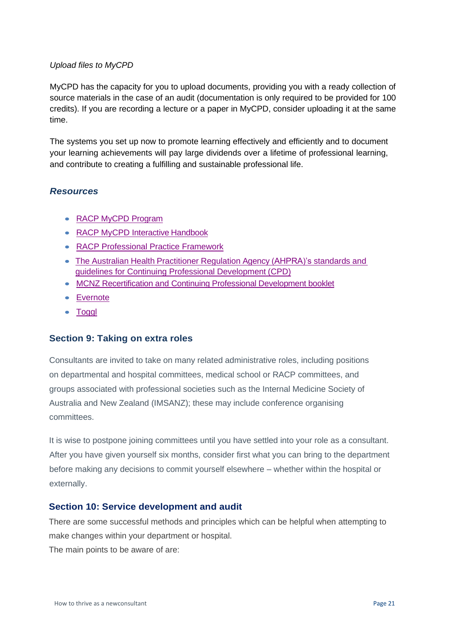#### <span id="page-20-1"></span>*Upload files to MyCPD*

MyCPD has the capacity for you to upload documents, providing you with a ready collection of source materials in the case of an audit (documentation is only required to be provided for 100 credits). If you are recording a lecture or a paper in MyCPD, consider uploading it at the same time.

The systems you set up now to promote learning effectively and efficiently and to document your learning achievements will pay large dividends over a lifetime of professional learning, and contribute to creating a fulfilling and sustainable professional life.

#### *Resources*

- [RACP MyCPD](http://www.racp.edu.au/fellows/continuing-professional-development) Program
- [RACP MyCPD Interactive](https://elearning.racp.edu.au/course/view.php?id=210) Handbook
- [RACP Professional Practice](https://www.racp.edu.au/docs/default-source/about/membership/professional-practice-framework-professional-standards.pdf?sfvrsn=82543e1a_8) Framework
- The Australian Health [Practitioner](https://www.ahpra.gov.au/Registration/Continuing-Professional-Development.aspx) Regulation Agency (AHPRA)'s standards an[d](https://www.ahpra.gov.au/Registration/Continuing-Professional-Development.aspx) [guidelines for Continuing Professional Development](https://www.ahpra.gov.au/Registration/Continuing-Professional-Development.aspx) (CPD)
- [MCNZ Recertification and Continuing Professional Development](https://www.mcnz.org.nz/assets/Publications/Booklets/f207f3de3e/Recertification-and-continuing-professional-development.pdf) booklet
- [Evernote](https://evernote.com/)
- [Toggl](http://www.toggl.com/)

# **Section 9: Taking on extra roles**

<span id="page-20-0"></span>Consultants are invited to take on many related administrative roles, including positions on departmental and hospital committees, medical school or RACP committees, and groups associated with professional societies such as the Internal Medicine Society of Australia and New Zealand (IMSANZ); these may include conference organising committees.

It is wise to postpone joining committees until you have settled into your role as a consultant. After you have given yourself six months, consider first what you can bring to the department before making any decisions to commit yourself elsewhere – whether within the hospital or externally.

# **Section 10: Service development and audit**

There are some successful methods and principles which can be helpful when attempting to make changes within your department or hospital.

The main points to be aware of are: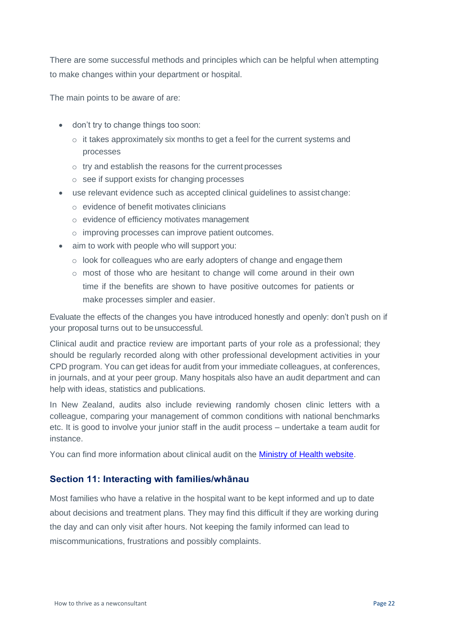There are some successful methods and principles which can be helpful when attempting to make changes within your department or hospital.

The main points to be aware of are:

- don't try to change things too soon:
	- $\circ$  it takes approximately six months to get a feel for the current systems and processes
	- o try and establish the reasons for the current processes
	- o see if support exists for changing processes
- use relevant evidence such as accepted clinical guidelines to assist change:
	- o evidence of benefit motivates clinicians
	- o evidence of efficiency motivates management
	- o improving processes can improve patient outcomes.
- aim to work with people who will support you:
	- $\circ$  look for colleagues who are early adopters of change and engage them
	- $\circ$  most of those who are hesitant to change will come around in their own time if the benefits are shown to have positive outcomes for patients or make processes simpler and easier.

Evaluate the effects of the changes you have introduced honestly and openly: don't push on if your proposal turns out to be unsuccessful.

Clinical audit and practice review are important parts of your role as a professional; they should be regularly recorded along with other professional development activities in your CPD program. You can get ideas for audit from your immediate colleagues, at conferences, in journals, and at your peer group. Many hospitals also have an audit department and can help with ideas, statistics and publications.

In New Zealand, audits also include reviewing randomly chosen clinic letters with a colleague, comparing your management of common conditions with national benchmarks etc. It is good to involve your junior staff in the audit process – undertake a team audit for instance.

You can find more information about clinical audit on the **Ministry of Health website**.

# <span id="page-21-0"></span>**Section 11: Interacting with families/whānau**

Most families who have a relative in the hospital want to be kept informed and up to date about decisions and treatment plans. They may find this difficult if they are working during the day and can only visit after hours. Not keeping the family informed can lead to miscommunications, frustrations and possibly complaints.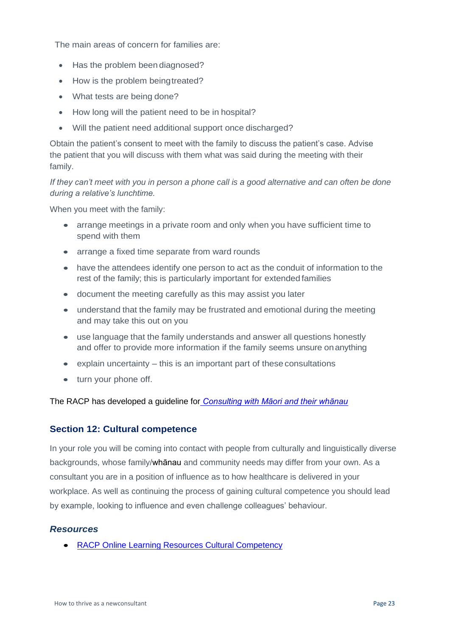<span id="page-22-1"></span>The main areas of concern for families are:

- Has the problem been diagnosed?
- How is the problem beingtreated?
- What tests are being done?
- How long will the patient need to be in hospital?
- Will the patient need additional support once discharged?

Obtain the patient's consent to meet with the family to discuss the patient's case. Advise the patient that you will discuss with them what was said during the meeting with their family.

*If they can't meet with you in person a phone call is a good alternative and can often be done during a relative's lunchtime.*

When you meet with the family:

- arrange meetings in a private room and only when you have sufficient time to spend with them
- arrange a fixed time separate from ward rounds
- have the attendees identify one person to act as the conduit of information to the rest of the family; this is particularly important for extended families
- document the meeting carefully as this may assist you later
- understand that the family may be frustrated and emotional during the meeting and may take this out on you
- use language that the family understands and answer all questions honestly and offer to provide more information if the family seems unsure onanything
- explain uncertainty this is an important part of these consultations
- turn your phone off.

The RACP has developed a guideline for *[Consulting with Māori and their whānau](https://www.racp.edu.au/docs/default-source/default-document-library/guideline-commentary-consulting-with-m%C4%81ori-wh%C4%81nau.pdf?sfvrsn=2)*

# <span id="page-22-0"></span>**Section 12: Cultural competence**

In your role you will be coming into contact with people from culturally and linguistically diverse backgrounds, whose family/whānau and community needs may differ from your own. As a consultant you are in a position of influence as to how healthcare is delivered in your workplace. As well as continuing the process of gaining cultural competence you should lead by example, looking to influence and even challenge colleagues' behaviour.

# *Resources*

• [RACP Online Learning Resources Cultural](https://elearning.racp.edu.au/) Competency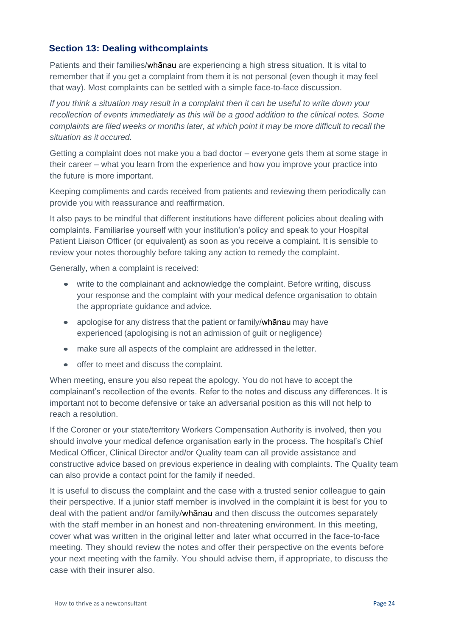# **Section 13: Dealing withcomplaints**

Patients and their families/whānau are experiencing a high stress situation. It is vital to remember that if you get a complaint from them it is not personal (even though it may feel that way). Most complaints can be settled with a simple face-to-face discussion.

*If you think a situation may result in a complaint then it can be useful to write down your recollection of events immediately as this will be a good addition to the clinical notes. Some complaints are filed weeks or months later, at which point it may be more difficult to recall the situation as it occured.*

Getting a complaint does not make you a bad doctor – everyone gets them at some stage in their career – what you learn from the experience and how you improve your practice into the future is more important.

Keeping compliments and cards received from patients and reviewing them periodically can provide you with reassurance and reaffirmation.

It also pays to be mindful that different institutions have different policies about dealing with complaints. Familiarise yourself with your institution's policy and speak to your Hospital Patient Liaison Officer (or equivalent) as soon as you receive a complaint. It is sensible to review your notes thoroughly before taking any action to remedy the complaint.

Generally, when a complaint is received:

- write to the complainant and acknowledge the complaint. Before writing, discuss your response and the complaint with your medical defence organisation to obtain the appropriate guidance and advice.
- apologise for any distress that the patient or family/whanau may have experienced (apologising is not an admission of guilt or negligence)
- make sure all aspects of the complaint are addressed in the letter.
- offer to meet and discuss the complaint.

When meeting, ensure you also repeat the apology. You do not have to accept the complainant's recollection of the events. Refer to the notes and discuss any differences. It is important not to become defensive or take an adversarial position as this will not help to reach a resolution.

If the Coroner or your state/territory Workers Compensation Authority is involved, then you should involve your medical defence organisation early in the process. The hospital's Chief Medical Officer, Clinical Director and/or Quality team can all provide assistance and constructive advice based on previous experience in dealing with complaints. The Quality team can also provide a contact point for the family if needed.

It is useful to discuss the complaint and the case with a trusted senior colleague to gain their perspective. If a junior staff member is involved in the complaint it is best for you to deal with the patient and/or family/whānau and then discuss the outcomes separately with the staff member in an honest and non-threatening environment. In this meeting, cover what was written in the original letter and later what occurred in the face-to-face meeting. They should review the notes and offer their perspective on the events before your next meeting with the family. You should advise them, if appropriate, to discuss the case with their insurer also.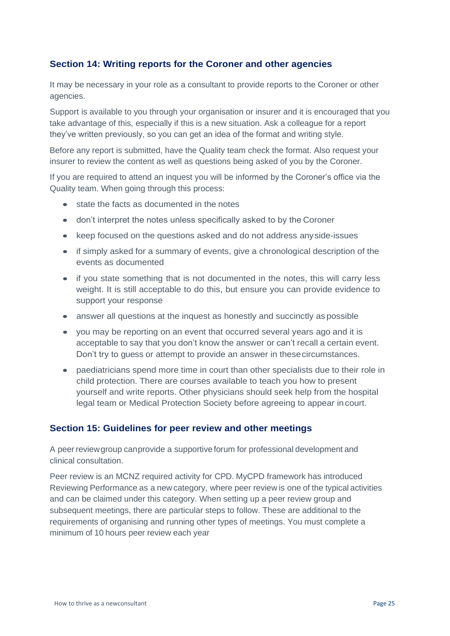# <span id="page-24-0"></span>**Section 14: Writing reports for the Coroner and other agencies**

It may be necessary in your role as a consultant to provide reports to the Coroner or other agencies.

Support is available to you through your organisation or insurer and it is encouraged that you take advantage of this, especially if this is a new situation. Ask a colleague for a report they've written previously, so you can get an idea of the format and writing style.

Before any report is submitted, have the Quality team check the format. Also request your insurer to review the content as well as questions being asked of you by the Coroner.

If you are required to attend an inquest you will be informed by the Coroner's office via the Quality team. When going through this process:

- state the facts as documented in the notes
- don't interpret the notes unless specifically asked to by the Coroner
- keep focused on the questions asked and do not address anyside-issues
- if simply asked for a summary of events, give a chronological description of the events as documented
- if you state something that is not documented in the notes, this will carry less weight. It is still acceptable to do this, but ensure you can provide evidence to support your response
- answer all questions at the inquest as honestly and succinctly as possible
- you may be reporting on an event that occurred several years ago and it is acceptable to say that you don't know the answer or can't recall a certain event. Don't try to guess or attempt to provide an answer in thesecircumstances.
- paediatricians spend more time in court than other specialists due to their role in child protection. There are courses available to teach you how to present yourself and write reports. Other physicians should seek help from the hospital legal team or Medical Protection Society before agreeing to appear in court.

# <span id="page-24-1"></span>**Section 15: Guidelines for peer review and other meetings**

A peer reviewgroup canprovide a supportive forum for professional development and clinical consultation.

Peer review is an MCNZ required activity for CPD. MyCPD framework has introduced Reviewing Performance as a new category, where peer review is one of the typical activities and can be claimed under this category. When setting up a peer review group and subsequent meetings, there are particular steps to follow. These are additional to the requirements of organising and running other types of meetings. You must complete a minimum of 10 hours peer review each year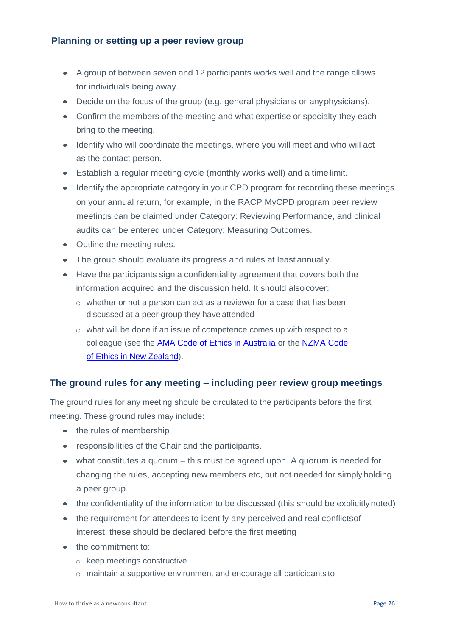# **Planning or setting up a peer review group**

- A group of between seven and 12 participants works well and the range allows for individuals being away.
- Decide on the focus of the group (e.g. general physicians or anyphysicians).
- Confirm the members of the meeting and what expertise or specialty they each bring to the meeting.
- Identify who will coordinate the meetings, where you will meet and who will act as the contact person.
- Establish a regular meeting cycle (monthly works well) and a time limit.
- Identify the appropriate category in your CPD program for recording these meetings on your annual return, for example, in the RACP MyCPD program peer review meetings can be claimed under Category: Reviewing Performance, and clinical audits can be entered under Category: Measuring Outcomes.
- Outline the meeting rules.
- The group should evaluate its progress and rules at least annually.
- Have the participants sign a confidentiality agreement that covers both the information acquired and the discussion held. It should alsocover:
	- $\circ$  whether or not a person can act as a reviewer for a case that has been discussed at a peer group they have attended
	- o what will be done if an issue of competence comes up with respect to a colleague (see the [AMA Code of Ethics in Australia](https://ama.com.au/position-statement/code-ethics-2004-editorially-revised-2006-revised-2016) or the [NZMA Code](https://www.nzma.org.nz/publications/code-of-ethics) [of Ethics in New](https://www.nzma.org.nz/publications/code-of-ethics) Zealand).

# **The ground rules for any meeting – including peer review group meetings**

The ground rules for any meeting should be circulated to the participants before the first meeting. These ground rules may include:

- the rules of membership
- responsibilities of the Chair and the participants.
- what constitutes a quorum this must be agreed upon. A quorum is needed for changing the rules, accepting new members etc, but not needed for simply holding a peer group.
- the confidentiality of the information to be discussed (this should be explicitly noted)
- the requirement for attendees to identify any perceived and real conflicts of interest; these should be declared before the first meeting
- the commitment to:
	- o keep meetings constructive
	- $\circ$  maintain a supportive environment and encourage all participants to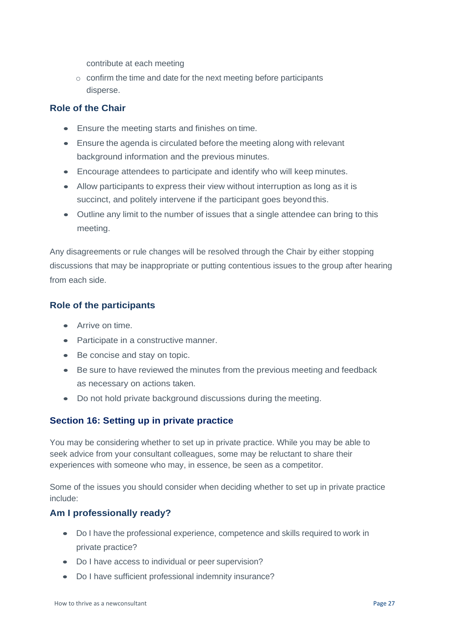contribute at each meeting

 $\circ$  confirm the time and date for the next meeting before participants disperse.

# **Role of the Chair**

- Ensure the meeting starts and finishes on time.
- Ensure the agenda is circulated before the meeting along with relevant background information and the previous minutes.
- Encourage attendees to participate and identify who will keep minutes.
- Allow participants to express their view without interruption as long as it is succinct, and politely intervene if the participant goes beyond this.
- Outline any limit to the number of issues that a single attendee can bring to this meeting.

Any disagreements or rule changes will be resolved through the Chair by either stopping discussions that may be inappropriate or putting contentious issues to the group after hearing from each side.

# **Role of the participants**

- Arrive on time.
- Participate in a constructive manner.
- Be concise and stay on topic.
- Be sure to have reviewed the minutes from the previous meeting and feedback as necessary on actions taken.
- Do not hold private background discussions during the meeting.

# <span id="page-26-0"></span>**Section 16: Setting up in private practice**

You may be considering whether to set up in private practice. While you may be able to seek advice from your consultant colleagues, some may be reluctant to share their experiences with someone who may, in essence, be seen as a competitor.

Some of the issues you should consider when deciding whether to set up in private practice include:

# **Am I professionally ready?**

- Do I have the professional experience, competence and skills required to work in private practice?
- Do I have access to individual or peer supervision?
- Do I have sufficient professional indemnity insurance?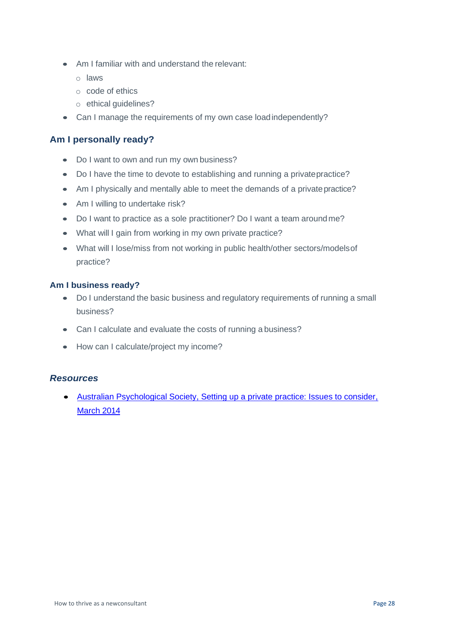- Am I familiar with and understand the relevant:
	- o laws
	- o code of ethics
	- o ethical guidelines?
- Can I manage the requirements of my own case load independently?

## **Am I personally ready?**

- Do I want to own and run my own business?
- Do I have the time to devote to establishing and running a privatepractice?
- Am I physically and mentally able to meet the demands of a private practice?
- Am I willing to undertake risk?
- Do I want to practice as a sole practitioner? Do I want a team aroundme?
- What will I gain from working in my own private practice?
- What will I lose/miss from not working in public health/other sectors/modelsof practice?

#### **Am I business ready?**

- Do I understand the basic business and regulatory requirements of running a small business?
- Can I calculate and evaluate the costs of running a business?
- How can I calculate/project my income?

#### *Resources*

• [Australian Psychological Society, Setting up a private practice: Issues to consider,](https://www.psychology.org.au/Search-Results?searchtext=setting%2Bup%2Ba%2Bprivate%2Bpractice&searchmode=anyword) [March](https://www.psychology.org.au/Search-Results?searchtext=setting%2Bup%2Ba%2Bprivate%2Bpractice&searchmode=anyword) 2014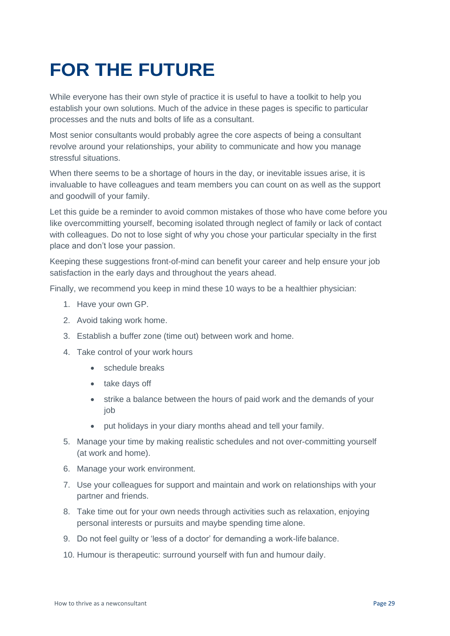# **FOR THE FUTURE**

While everyone has their own style of practice it is useful to have a toolkit to help you establish your own solutions. Much of the advice in these pages is specific to particular processes and the nuts and bolts of life as a consultant.

Most senior consultants would probably agree the core aspects of being a consultant revolve around your relationships, your ability to communicate and how you manage stressful situations.

When there seems to be a shortage of hours in the day, or inevitable issues arise, it is invaluable to have colleagues and team members you can count on as well as the support and goodwill of your family.

Let this guide be a reminder to avoid common mistakes of those who have come before you like overcommitting yourself, becoming isolated through neglect of family or lack of contact with colleagues. Do not to lose sight of why you chose your particular specialty in the first place and don't lose your passion.

Keeping these suggestions front-of-mind can benefit your career and help ensure your job satisfaction in the early days and throughout the years ahead.

Finally, we recommend you keep in mind these 10 ways to be a healthier physician:

- 1. Have your own GP.
- 2. Avoid taking work home.
- 3. Establish a buffer zone (time out) between work and home.
- 4. Take control of your work hours
	- schedule breaks
	- take days off
	- strike a balance between the hours of paid work and the demands of your job
	- put holidays in your diary months ahead and tell your family.
- 5. Manage your time by making realistic schedules and not over-committing yourself (at work and home).
- 6. Manage your work environment.
- 7. Use your colleagues for support and maintain and work on relationships with your partner and friends.
- 8. Take time out for your own needs through activities such as relaxation, enjoying personal interests or pursuits and maybe spending time alone.
- 9. Do not feel guilty or 'less of a doctor' for demanding a work-life balance.
- 10. Humour is therapeutic: surround yourself with fun and humour daily.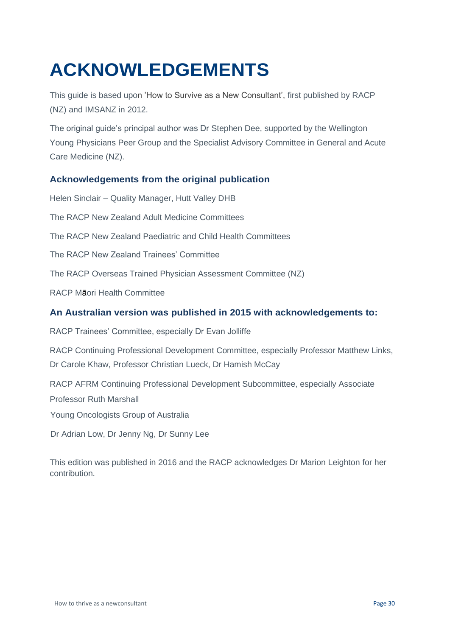# <span id="page-29-0"></span>**ACKNOWLEDGEMENTS**

This guide is based upon 'How to Survive as a New Consultant', first published by RACP (NZ) and IMSANZ in 2012.

The original guide's principal author was Dr Stephen Dee, supported by the Wellington Young Physicians Peer Group and the Specialist Advisory Committee in General and Acute Care Medicine (NZ).

# **Acknowledgements from the original publication**

Helen Sinclair – Quality Manager, Hutt Valley DHB The RACP New Zealand Adult Medicine Committees The RACP New Zealand Paediatric and Child Health Committees The RACP New Zealand Trainees' Committee The RACP Overseas Trained Physician Assessment Committee (NZ) RACP Māori Health Committee **An Australian version was published in 2015 with acknowledgements to:** RACP Trainees' Committee, especially Dr Evan Jolliffe RACP Continuing Professional Development Committee, especially Professor Matthew Links, Dr Carole Khaw, Professor Christian Lueck, Dr Hamish McCay RACP AFRM Continuing Professional Development Subcommittee, especially Associate Professor Ruth Marshall Young Oncologists Group of Australia

Dr Adrian Low, Dr Jenny Ng, Dr Sunny Lee

This edition was published in 2016 and the RACP acknowledges Dr Marion Leighton for her contribution.